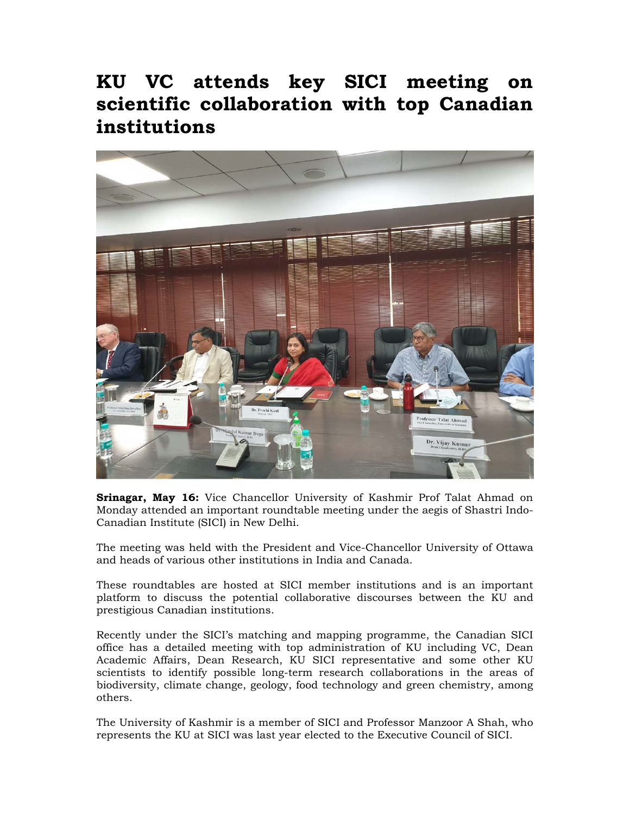## **KU VC attends key SICI meeting on scientific collaboration with top Canadian institutions**



**Srinagar, May 16:** Vice Chancellor University of Kashmir Prof Talat Ahmad on Monday attended an important roundtable meeting under the aegis of Shastri Indo-Canadian Institute (SICI) in New Delhi.

The meeting was held with the President and Vice-Chancellor University of Ottawa and heads of various other institutions in India and Canada.

These roundtables are hosted at SICI member institutions and is an important platform to discuss the potential collaborative discourses between the KU and prestigious Canadian institutions.

Recently under the SICI's matching and mapping programme, the Canadian SICI office has a detailed meeting with top administration of KU including VC, Dean Academic Affairs, Dean Research, KU SICI representative and some other KU scientists to identify possible long-term research collaborations in the areas of biodiversity, climate change, geology, food technology and green chemistry, among others.

The University of Kashmir is a member of SICI and Professor Manzoor A Shah, who represents the KU at SICI was last year elected to the Executive Council of SICI.